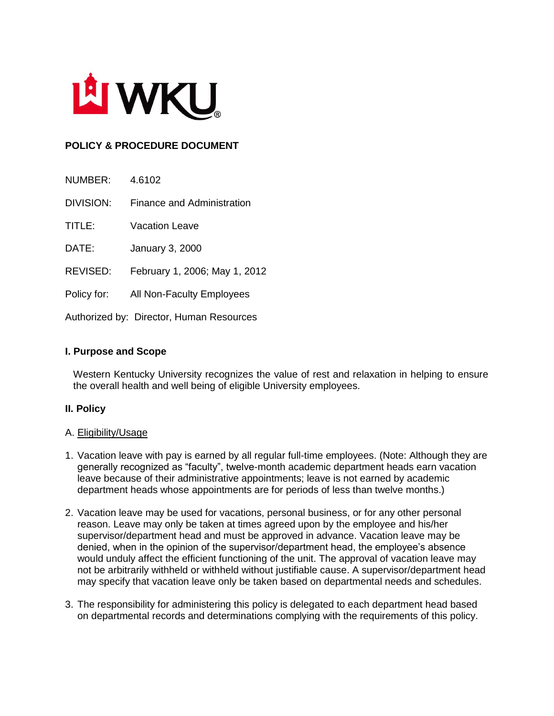

# **POLICY & PROCEDURE DOCUMENT**

| NUMBER:          | 4.6102                            |
|------------------|-----------------------------------|
| <b>DIVISION:</b> | <b>Finance and Administration</b> |
| TITLE:           | Vacation Leave                    |
| DATE:            | <b>January 3, 2000</b>            |
| <b>REVISED:</b>  | February 1, 2006; May 1, 2012     |
| Policy for:      | All Non-Faculty Employees         |
|                  |                                   |

Authorized by: Director, Human Resources

# **I. Purpose and Scope**

Western Kentucky University recognizes the value of rest and relaxation in helping to ensure the overall health and well being of eligible University employees.

# **II. Policy**

#### A. Eligibility/Usage

- 1. Vacation leave with pay is earned by all regular full-time employees. (Note: Although they are generally recognized as "faculty", twelve-month academic department heads earn vacation leave because of their administrative appointments; leave is not earned by academic department heads whose appointments are for periods of less than twelve months.)
- 2. Vacation leave may be used for vacations, personal business, or for any other personal reason. Leave may only be taken at times agreed upon by the employee and his/her supervisor/department head and must be approved in advance. Vacation leave may be denied, when in the opinion of the supervisor/department head, the employee's absence would unduly affect the efficient functioning of the unit. The approval of vacation leave may not be arbitrarily withheld or withheld without justifiable cause. A supervisor/department head may specify that vacation leave only be taken based on departmental needs and schedules.
- 3. The responsibility for administering this policy is delegated to each department head based on departmental records and determinations complying with the requirements of this policy.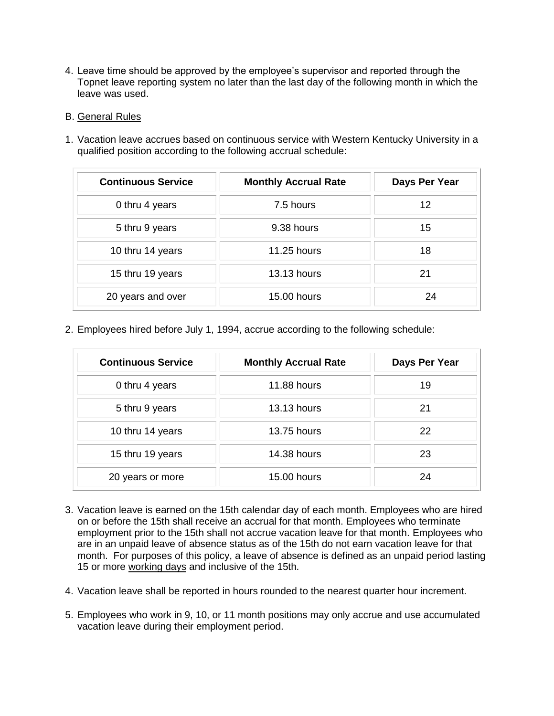- 4. Leave time should be approved by the employee's supervisor and reported through the Topnet leave reporting system no later than the last day of the following month in which the leave was used.
- B. General Rules
- 1. Vacation leave accrues based on continuous service with Western Kentucky University in a qualified position according to the following accrual schedule:

| <b>Continuous Service</b> | <b>Monthly Accrual Rate</b> | Days Per Year |
|---------------------------|-----------------------------|---------------|
| 0 thru 4 years            | 7.5 hours                   | 12            |
| 5 thru 9 years            | 9.38 hours                  | 15            |
| 10 thru 14 years          | <b>11.25 hours</b>          | 18            |
| 15 thru 19 years          | <b>13.13 hours</b>          | 21            |
| 20 years and over         | 15.00 hours                 | 24            |

2. Employees hired before July 1, 1994, accrue according to the following schedule:

| <b>Continuous Service</b> | <b>Monthly Accrual Rate</b> | Days Per Year |
|---------------------------|-----------------------------|---------------|
| 0 thru 4 years            | <b>11.88 hours</b>          | 19            |
| 5 thru 9 years            | <b>13.13 hours</b>          | 21            |
| 10 thru 14 years          | 13.75 hours                 | 22            |
| 15 thru 19 years          | <b>14.38 hours</b>          | 23            |
| 20 years or more          | 15.00 hours                 | 24            |

- 3. Vacation leave is earned on the 15th calendar day of each month. Employees who are hired on or before the 15th shall receive an accrual for that month. Employees who terminate employment prior to the 15th shall not accrue vacation leave for that month. Employees who are in an unpaid leave of absence status as of the 15th do not earn vacation leave for that month. For purposes of this policy, a leave of absence is defined as an unpaid period lasting 15 or more working days and inclusive of the 15th.
- 4. Vacation leave shall be reported in hours rounded to the nearest quarter hour increment.
- 5. Employees who work in 9, 10, or 11 month positions may only accrue and use accumulated vacation leave during their employment period.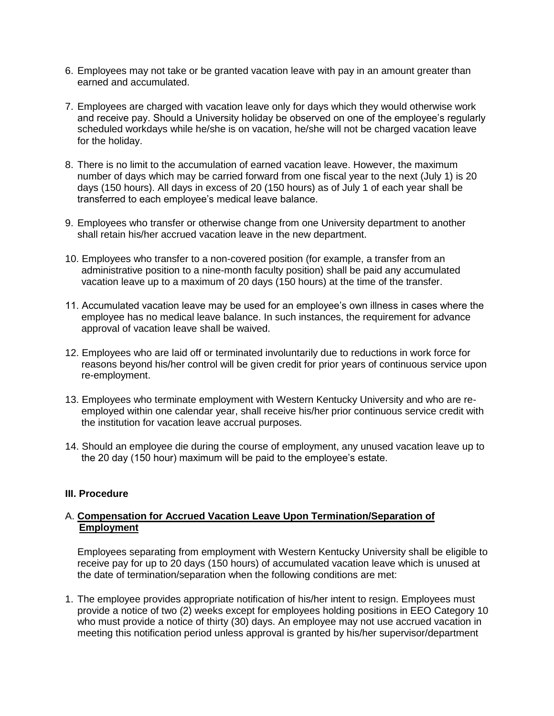- 6. Employees may not take or be granted vacation leave with pay in an amount greater than earned and accumulated.
- 7. Employees are charged with vacation leave only for days which they would otherwise work and receive pay. Should a University holiday be observed on one of the employee's regularly scheduled workdays while he/she is on vacation, he/she will not be charged vacation leave for the holiday.
- 8. There is no limit to the accumulation of earned vacation leave. However, the maximum number of days which may be carried forward from one fiscal year to the next (July 1) is 20 days (150 hours). All days in excess of 20 (150 hours) as of July 1 of each year shall be transferred to each employee's medical leave balance.
- 9. Employees who transfer or otherwise change from one University department to another shall retain his/her accrued vacation leave in the new department.
- 10. Employees who transfer to a non-covered position (for example, a transfer from an administrative position to a nine-month faculty position) shall be paid any accumulated vacation leave up to a maximum of 20 days (150 hours) at the time of the transfer.
- 11. Accumulated vacation leave may be used for an employee's own illness in cases where the employee has no medical leave balance. In such instances, the requirement for advance approval of vacation leave shall be waived.
- 12. Employees who are laid off or terminated involuntarily due to reductions in work force for reasons beyond his/her control will be given credit for prior years of continuous service upon re-employment.
- 13. Employees who terminate employment with Western Kentucky University and who are reemployed within one calendar year, shall receive his/her prior continuous service credit with the institution for vacation leave accrual purposes.
- 14. Should an employee die during the course of employment, any unused vacation leave up to the 20 day (150 hour) maximum will be paid to the employee's estate.

#### **III. Procedure**

#### A. **Compensation for Accrued Vacation Leave Upon Termination/Separation of Employment**

Employees separating from employment with Western Kentucky University shall be eligible to receive pay for up to 20 days (150 hours) of accumulated vacation leave which is unused at the date of termination/separation when the following conditions are met:

1. The employee provides appropriate notification of his/her intent to resign. Employees must provide a notice of two (2) weeks except for employees holding positions in EEO Category 10 who must provide a notice of thirty (30) days. An employee may not use accrued vacation in meeting this notification period unless approval is granted by his/her supervisor/department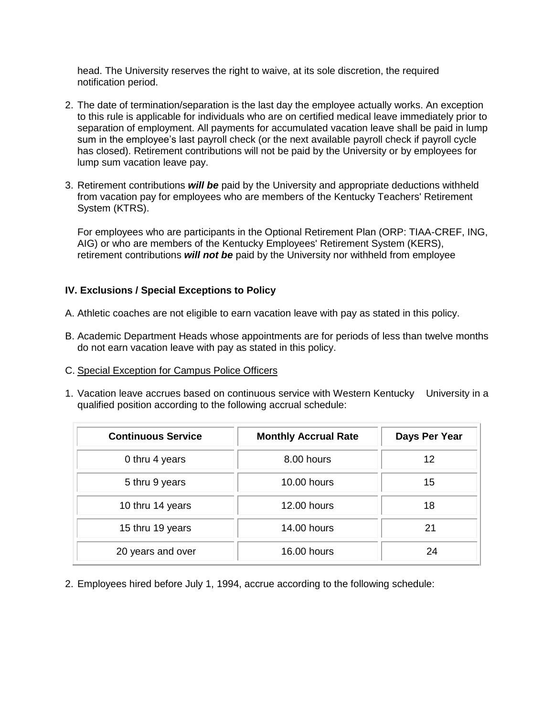head. The University reserves the right to waive, at its sole discretion, the required notification period.

- 2. The date of termination/separation is the last day the employee actually works. An exception to this rule is applicable for individuals who are on certified medical leave immediately prior to separation of employment. All payments for accumulated vacation leave shall be paid in lump sum in the employee's last payroll check (or the next available payroll check if payroll cycle has closed). Retirement contributions will not be paid by the University or by employees for lump sum vacation leave pay.
- 3. Retirement contributions *will be* paid by the University and appropriate deductions withheld from vacation pay for employees who are members of the Kentucky Teachers' Retirement System (KTRS).

For employees who are participants in the Optional Retirement Plan (ORP: TIAA-CREF, ING, AIG) or who are members of the Kentucky Employees' Retirement System (KERS), retirement contributions *will not be* paid by the University nor withheld from employee

# **IV. Exclusions / Special Exceptions to Policy**

- A. Athletic coaches are not eligible to earn vacation leave with pay as stated in this policy.
- B. Academic Department Heads whose appointments are for periods of less than twelve months do not earn vacation leave with pay as stated in this policy.
- C. Special Exception for Campus Police Officers
- 1. Vacation leave accrues based on continuous service with Western Kentucky University in a qualified position according to the following accrual schedule:

| <b>Continuous Service</b> | <b>Monthly Accrual Rate</b> | Days Per Year |
|---------------------------|-----------------------------|---------------|
| 0 thru 4 years            | 8.00 hours                  | 12            |
| 5 thru 9 years            | 10.00 hours                 | 15            |
| 10 thru 14 years          | 12.00 hours                 | 18            |
| 15 thru 19 years          | 14.00 hours                 | 21            |
| 20 years and over         | 16.00 hours                 | 24            |

2. Employees hired before July 1, 1994, accrue according to the following schedule: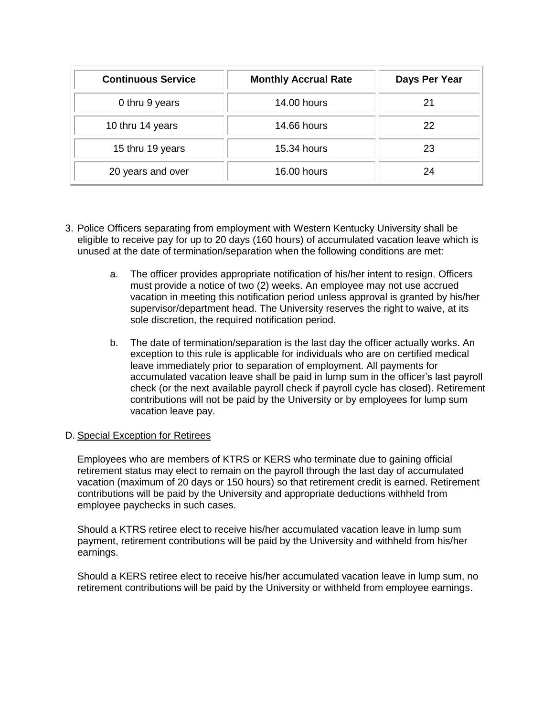| <b>Continuous Service</b> | <b>Monthly Accrual Rate</b> | Days Per Year |
|---------------------------|-----------------------------|---------------|
| 0 thru 9 years            | <b>14.00 hours</b>          | 21            |
| 10 thru 14 years          | <b>14.66 hours</b>          | 22            |
| 15 thru 19 years          | 15.34 hours                 | 23            |
| 20 years and over         | 16.00 hours                 | 24            |

- 3. Police Officers separating from employment with Western Kentucky University shall be eligible to receive pay for up to 20 days (160 hours) of accumulated vacation leave which is unused at the date of termination/separation when the following conditions are met:
	- a. The officer provides appropriate notification of his/her intent to resign. Officers must provide a notice of two (2) weeks. An employee may not use accrued vacation in meeting this notification period unless approval is granted by his/her supervisor/department head. The University reserves the right to waive, at its sole discretion, the required notification period.
	- b. The date of termination/separation is the last day the officer actually works. An exception to this rule is applicable for individuals who are on certified medical leave immediately prior to separation of employment. All payments for accumulated vacation leave shall be paid in lump sum in the officer's last payroll check (or the next available payroll check if payroll cycle has closed). Retirement contributions will not be paid by the University or by employees for lump sum vacation leave pay.

# D. Special Exception for Retirees

Employees who are members of KTRS or KERS who terminate due to gaining official retirement status may elect to remain on the payroll through the last day of accumulated vacation (maximum of 20 days or 150 hours) so that retirement credit is earned. Retirement contributions will be paid by the University and appropriate deductions withheld from employee paychecks in such cases.

Should a KTRS retiree elect to receive his/her accumulated vacation leave in lump sum payment, retirement contributions will be paid by the University and withheld from his/her earnings.

Should a KERS retiree elect to receive his/her accumulated vacation leave in lump sum, no retirement contributions will be paid by the University or withheld from employee earnings.